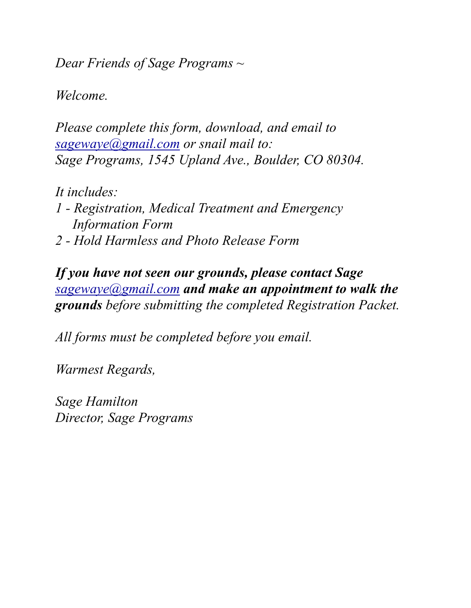*Dear Friends of Sage Programs ~* 

*Welcome.* 

*Please complete this form, download, and email to [sagewaye@gmail.com](mailto:sagewaye@gmail.com) or snail mail to: Sage Programs, 1545 Upland Ave., Boulder, CO 80304.* 

*It includes: 1 - Registration, Medical Treatment and Emergency Information Form 2 - Hold Harmless and Photo Release Form* 

*If you have not seen our grounds, please contact Sage [sagewaye@gmail.com](mailto:sagewaye@gmail.com) and make an appointment to walk the grounds before submitting the completed Registration Packet.* 

*All forms must be completed before you email.* 

*Warmest Regards,* 

*Sage Hamilton Director, Sage Programs*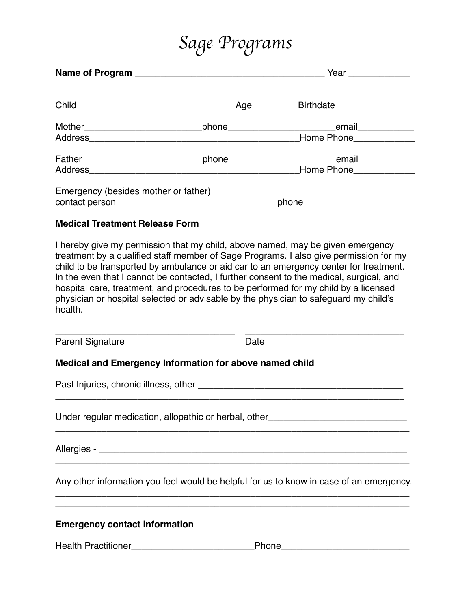# *Sage Programs*

|                                      | Year ______________             |  |
|--------------------------------------|---------------------------------|--|
|                                      | Age Birthdate                   |  |
|                                      | Home Phone                      |  |
|                                      | Home Phone_____________         |  |
| Emergency (besides mother or father) | phone__________________________ |  |

#### **Medical Treatment Release Form**

I hereby give my permission that my child, above named, may be given emergency treatment by a qualified staff member of Sage Programs. I also give permission for my child to be transported by ambulance or aid car to an emergency center for treatment. In the even that I cannot be contacted, I further consent to the medical, surgical, and hospital care, treatment, and procedures to be performed for my child by a licensed physician or hospital selected or advisable by the physician to safeguard my child's health.

\_\_\_\_\_\_\_\_\_\_\_\_\_\_\_\_\_\_\_\_\_\_\_\_\_\_\_\_\_\_\_\_\_\_\_ \_\_\_\_\_\_\_\_\_\_\_\_\_\_\_\_\_\_\_\_\_\_\_\_\_\_\_\_\_\_\_ Parent Signature Date Date

### **Medical and Emergency Information for above named child**

Past Injuries, chronic illness, other **with an all and the contract of the contract of the contract of the contract of the contract of the contract of the contract of the contract of the contract of the contract of the con** 

Under regular medication, allopathic or herbal, other\_\_\_\_\_\_\_\_\_\_\_\_\_\_\_\_\_\_\_\_\_\_\_\_\_\_\_

Allergies - \_\_\_\_\_\_\_\_\_\_\_\_\_\_\_\_\_\_\_\_\_\_\_\_\_\_\_\_\_\_\_\_\_\_\_\_\_\_\_\_\_\_\_\_\_\_\_\_\_\_\_\_\_\_\_\_\_\_\_\_

Any other information you feel would be helpful for us to know in case of an emergency. \_\_\_\_\_\_\_\_\_\_\_\_\_\_\_\_\_\_\_\_\_\_\_\_\_\_\_\_\_\_\_\_\_\_\_\_\_\_\_\_\_\_\_\_\_\_\_\_\_\_\_\_\_\_\_\_\_\_\_\_\_\_\_\_\_\_\_\_\_

**\_\_\_\_\_\_\_\_\_\_\_\_\_\_\_\_\_\_\_\_\_\_\_\_\_\_\_\_\_\_\_\_\_\_\_\_\_\_\_\_\_\_\_\_\_\_\_\_\_\_\_\_\_\_\_\_\_\_\_\_\_\_\_\_\_\_\_\_\_**

\_\_\_\_\_\_\_\_\_\_\_\_\_\_\_\_\_\_\_\_\_\_\_\_\_\_\_\_\_\_\_\_\_\_\_\_\_\_\_\_\_\_\_\_\_\_\_\_\_\_\_\_\_\_\_\_\_\_\_\_\_\_\_\_\_\_\_\_\_

\_\_\_\_\_\_\_\_\_\_\_\_\_\_\_\_\_\_\_\_\_\_\_\_\_\_\_\_\_\_\_\_\_\_\_\_\_\_\_\_\_\_\_\_\_\_\_\_\_\_\_\_\_\_\_\_\_\_\_\_\_\_\_\_\_\_\_\_

\_\_\_\_\_\_\_\_\_\_\_\_\_\_\_\_\_\_\_\_\_\_\_\_\_\_\_\_\_\_\_\_\_\_\_\_\_\_\_\_\_\_\_\_\_\_\_\_\_\_\_\_\_\_\_\_\_\_\_\_\_\_\_\_\_\_\_\_\_

#### **Emergency contact information**

Health Practitioner\_\_\_\_\_\_\_\_\_\_\_\_\_\_\_\_\_\_\_\_\_\_\_\_Phone\_\_\_\_\_\_\_\_\_\_\_\_\_\_\_\_\_\_\_\_\_\_\_\_\_